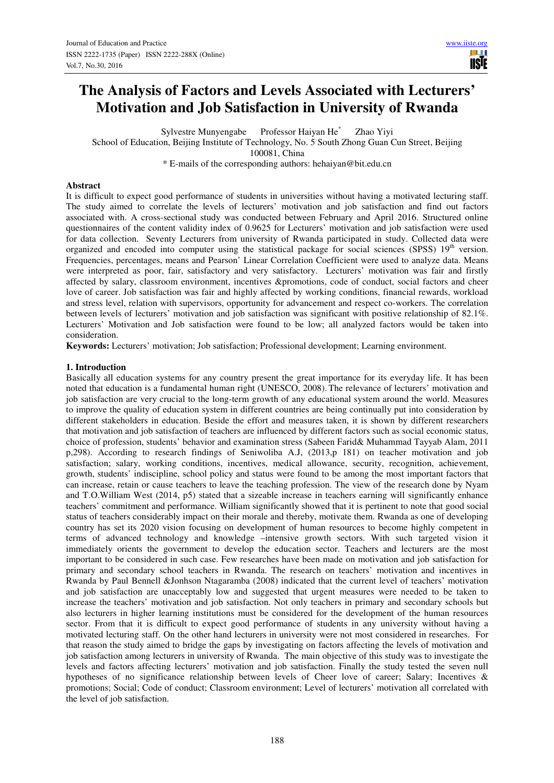# **The Analysis of Factors and Levels Associated with Lecturers' Motivation and Job Satisfaction in University of Rwanda**

Sylvestre Munyengabe Professor Haiyan He\* Zhao Yiyi

School of Education, Beijing Institute of Technology, No. 5 South Zhong Guan Cun Street, Beijing 100081, China

\* E-mails of the corresponding authors: hehaiyan@bit.edu.cn

#### **Abstract**

It is difficult to expect good performance of students in universities without having a motivated lecturing staff. The study aimed to correlate the levels of lecturers' motivation and job satisfaction and find out factors associated with. A cross-sectional study was conducted between February and April 2016. Structured online questionnaires of the content validity index of 0.9625 for Lecturers' motivation and job satisfaction were used for data collection. Seventy Lecturers from university of Rwanda participated in study. Collected data were organized and encoded into computer using the statistical package for social sciences (SPSS)  $19<sup>th</sup>$  version. Frequencies, percentages, means and Pearson' Linear Correlation Coefficient were used to analyze data. Means were interpreted as poor, fair, satisfactory and very satisfactory. Lecturers' motivation was fair and firstly affected by salary, classroom environment, incentives &promotions, code of conduct, social factors and cheer love of career. Job satisfaction was fair and highly affected by working conditions, financial rewards, workload and stress level, relation with supervisors, opportunity for advancement and respect co-workers. The correlation between levels of lecturers' motivation and job satisfaction was significant with positive relationship of 82.1%. Lecturers' Motivation and Job satisfaction were found to be low; all analyzed factors would be taken into consideration.

**Keywords:** Lecturers' motivation; Job satisfaction; Professional development; Learning environment.

#### **1. Introduction**

Basically all education systems for any country present the great importance for its everyday life. It has been noted that education is a fundamental human right (UNESCO, 2008).The relevance of lecturers' motivation and job satisfaction are very crucial to the long-term growth of any educational system around the world. Measures to improve the quality of education system in different countries are being continually put into consideration by different stakeholders in education. Beside the effort and measures taken, it is shown by different researchers that motivation and job satisfaction of teachers are influenced by different factors such as social economic status, choice of profession, students' behavior and examination stress (Sabeen Farid& Muhammad Tayyab Alam, 2011 p,298). According to research findings of Seniwoliba A.J, (2013,p 181) on teacher motivation and job satisfaction; salary, working conditions, incentives, medical allowance, security, recognition, achievement, growth, students' indiscipline, school policy and status were found to be among the most important factors that can increase, retain or cause teachers to leave the teaching profession. The view of the research done by Nyam and T.O.William West (2014, p5) stated that a sizeable increase in teachers earning will significantly enhance teachers' commitment and performance. William significantly showed that it is pertinent to note that good social status of teachers considerably impact on their morale and thereby, motivate them. Rwanda as one of developing country has set its 2020 vision focusing on development of human resources to become highly competent in terms of advanced technology and knowledge –intensive growth sectors. With such targeted vision it immediately orients the government to develop the education sector. Teachers and lecturers are the most important to be considered in such case. Few researches have been made on motivation and job satisfaction for primary and secondary school teachers in Rwanda. The research on teachers' motivation and incentives in Rwanda by Paul Bennell &Jonhson Ntagaramba (2008) indicated that the current level of teachers' motivation and job satisfaction are unacceptably low and suggested that urgent measures were needed to be taken to increase the teachers' motivation and job satisfaction. Not only teachers in primary and secondary schools but also lecturers in higher learning institutions must be considered for the development of the human resources sector. From that it is difficult to expect good performance of students in any university without having a motivated lecturing staff. On the other hand lecturers in university were not most considered in researches. For that reason the study aimed to bridge the gaps by investigating on factors affecting the levels of motivation and job satisfaction among lecturers in university of Rwanda. The main objective of this study was to investigate the levels and factors affecting lecturers' motivation and job satisfaction. Finally the study tested the seven null hypotheses of no significance relationship between levels of Cheer love of career; Salary; Incentives & promotions; Social; Code of conduct; Classroom environment; Level of lecturers' motivation all correlated with the level of job satisfaction.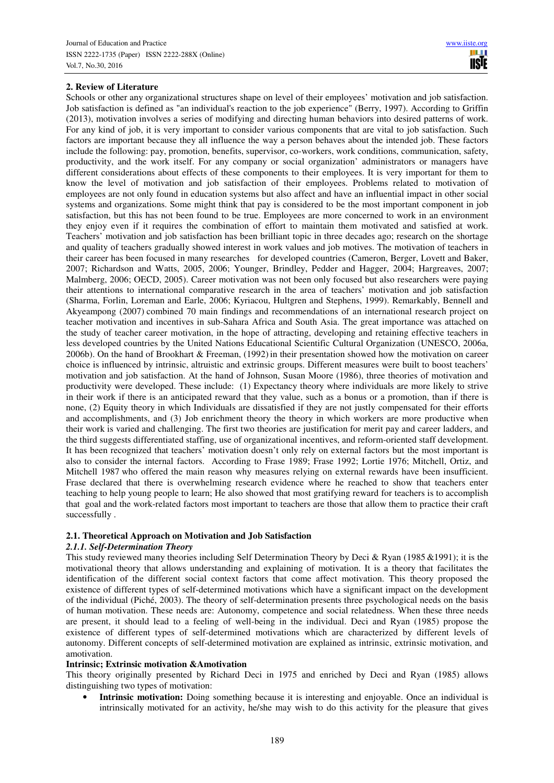#### **2. Review of Literature**

Schools or other any organizational structures shape on level of their employees' motivation and job satisfaction. Job satisfaction is defined as "an individual's reaction to the job experience" (Berry, 1997). According to Griffin (2013), motivation involves a series of modifying and directing human behaviors into desired patterns of work. For any kind of job, it is very important to consider various components that are vital to job satisfaction. Such factors are important because they all influence the way a person behaves about the intended job. These factors include the following: pay, promotion, benefits, supervisor, co-workers, work conditions, communication, safety, productivity, and the work itself. For any company or social organization' administrators or managers have different considerations about effects of these components to their employees. It is very important for them to know the level of motivation and job satisfaction of their employees. Problems related to motivation of employees are not only found in education systems but also affect and have an influential impact in other social systems and organizations. Some might think that pay is considered to be the most important component in job satisfaction, but this has not been found to be true. Employees are more concerned to work in an environment they enjoy even if it requires the combination of effort to maintain them motivated and satisfied at work. Teachers' motivation and job satisfaction has been brilliant topic in three decades ago; research on the shortage and quality of teachers gradually showed interest in work values and job motives. The motivation of teachers in their career has been focused in many researches for developed countries (Cameron, Berger, Lovett and Baker, 2007; Richardson and Watts, 2005, 2006; Younger, Brindley, Pedder and Hagger, 2004; Hargreaves, 2007; Malmberg, 2006; OECD, 2005). Career motivation was not been only focused but also researchers were paying their attentions to international comparative research in the area of teachers' motivation and job satisfaction (Sharma, Forlin, Loreman and Earle, 2006; Kyriacou, Hultgren and Stephens, 1999). Remarkably, Bennell and Akyeampong (2007) combined 70 main findings and recommendations of an international research project on teacher motivation and incentives in sub-Sahara Africa and South Asia. The great importance was attached on the study of teacher career motivation, in the hope of attracting, developing and retaining effective teachers in less developed countries by the United Nations Educational Scientific Cultural Organization (UNESCO, 2006a, 2006b). On the hand of Brookhart & Freeman, (1992) in their presentation showed how the motivation on career choice is influenced by intrinsic, altruistic and extrinsic groups. Different measures were built to boost teachers' motivation and job satisfaction. At the hand of Johnson, Susan Moore (1986), three theories of motivation and productivity were developed. These include: (1) Expectancy theory where individuals are more likely to strive in their work if there is an anticipated reward that they value, such as a bonus or a promotion, than if there is none, (2) Equity theory in which Individuals are dissatisfied if they are not justly compensated for their efforts and accomplishments, and (3) Job enrichment theory the theory in which workers are more productive when their work is varied and challenging. The first two theories are justification for merit pay and career ladders, and the third suggests differentiated staffing, use of organizational incentives, and reform-oriented staff development. It has been recognized that teachers' motivation doesn't only rely on external factors but the most important is also to consider the internal factors. According to Frase 1989; Frase 1992; Lortie 1976; Mitchell, Ortiz, and Mitchell 1987 who offered the main reason why measures relying on external rewards have been insufficient. Frase declared that there is overwhelming research evidence where he reached to show that teachers enter teaching to help young people to learn; He also showed that most gratifying reward for teachers is to accomplish that goal and the work-related factors most important to teachers are those that allow them to practice their craft successfully .

# **2.1. Theoretical Approach on Motivation and Job Satisfaction**

#### *2.1.1. Self-Determination Theory*

This study reviewed many theories including Self Determination Theory by Deci & Ryan (1985 &1991); it is the motivational theory that allows understanding and explaining of motivation. It is a theory that facilitates the identification of the different social context factors that come affect motivation. This theory proposed the existence of different types of self-determined motivations which have a significant impact on the development of the individual (Piché, 2003). The theory of self-determination presents three psychological needs on the basis of human motivation. These needs are: Autonomy, competence and social relatedness. When these three needs are present, it should lead to a feeling of well-being in the individual. Deci and Ryan (1985) propose the existence of different types of self-determined motivations which are characterized by different levels of autonomy. Different concepts of self-determined motivation are explained as intrinsic, extrinsic motivation, and amotivation.

#### **Intrinsic; Extrinsic motivation &Amotivation**

This theory originally presented by Richard Deci in 1975 and enriched by Deci and Ryan (1985) allows distinguishing two types of motivation:

• **Intrinsic motivation:** Doing something because it is interesting and enjoyable. Once an individual is intrinsically motivated for an activity, he/she may wish to do this activity for the pleasure that gives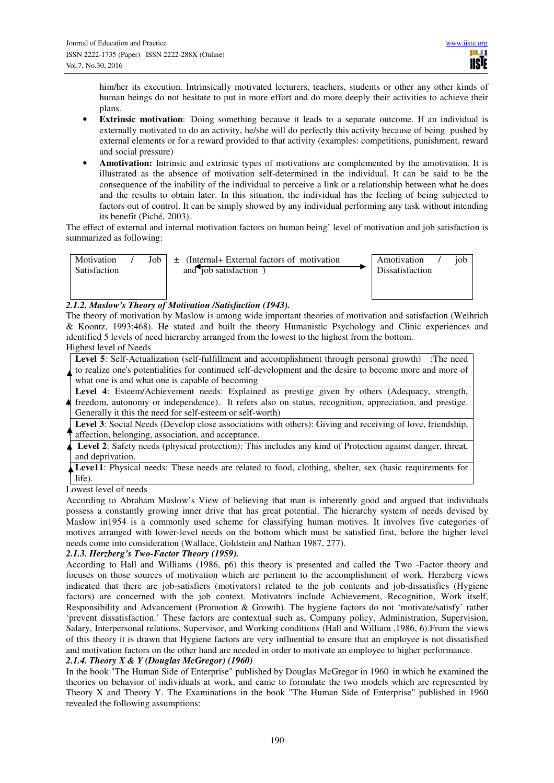him/her its execution. Intrinsically motivated lecturers, teachers, students or other any other kinds of human beings do not hesitate to put in more effort and do more deeply their activities to achieve their plans.

- **Extrinsic motivation**: 'Doing something because it leads to a separate outcome. If an individual is externally motivated to do an activity, he/she will do perfectly this activity because of being pushed by external elements or for a reward provided to that activity (examples: competitions, punishment, reward and social pressure)
- **Amotivation:** Intrinsic and extrinsic types of motivations are complemented by the amotivation. It is illustrated as the absence of motivation self-determined in the individual. It can be said to be the consequence of the inability of the individual to perceive a link or a relationship between what he does and the results to obtain later. In this situation, the individual has the feeling of being subjected to factors out of control. It can be simply showed by any individual performing any task without intending its benefit (Piché, 2003).

The effect of external and internal motivation factors on human being' level of motivation and job satisfaction is summarized as following:

| Motivation<br>Satisfaction | Job | $\pm$ (Internal+ External factors of motivation<br>and job satisfaction | Amotivation<br><b>Dissatisfaction</b> | iob |
|----------------------------|-----|-------------------------------------------------------------------------|---------------------------------------|-----|
|                            |     |                                                                         |                                       |     |

# *2.1.2. Maslow's Theory of Motivation /Satisfaction (1943).*

The theory of motivation by Maslow is among wide important theories of motivation and satisfaction (Weihrich & Koontz, 1993:468). He stated and built the theory Humanistic Psychology and Clinic experiences and identified 5 levels of need hierarchy arranged from the lowest to the highest from the bottom. Highest level of Needs

Level 5: Self-Actualization (self-fulfillment and accomplishment through personal growth) :The need to realize one's potentialities for continued self-development and the desire to become more and more of what one is and what one is capable of becoming

**Level 4**: Esteem/Achievement needs: Explained as prestige given by others (Adequacy, strength, freedom, autonomy or independence). It refers also on status, recognition, appreciation, and prestige. Generally it this the need for self-esteem or self-worth)

Level 3: Social Needs (Develop close associations with others): Giving and receiving of love, friendship, affection, belonging, association, and acceptance.

**Level 2**: Safety needs (physical protection): This includes any kind of Protection against danger, threat, and deprivation.

Leve11: Physical needs: These needs are related to food, clothing, shelter, sex (basic requirements for life).

Lowest level of needs

According to Abraham Maslow's View of believing that man is inherently good and argued that individuals possess a constantly growing inner drive that has great potential. The hierarchy system of needs devised by Maslow in1954 is a commonly used scheme for classifying human motives. It involves five categories of motives arranged with lower-level needs on the bottom which must be satisfied first, before the higher level needs come into consideration (Wallace, Goldstein and Nathan 1987, 277).

# *2.1.3. Herzberg's Two-Factor Theory (1959).*

According to Hall and Williams (1986, p6) this theory is presented and called the Two -Factor theory and focuses on those sources of motivation which are pertinent to the accomplishment of work. Herzberg views indicated that there are job-satisfiers (motivators) related to the job contents and job-dissatisfies (Hygiene factors) are concerned with the job context. Motivators include Achievement, Recognition, Work itself, Responsibility and Advancement (Promotion & Growth). The hygiene factors do not 'motivate/satisfy' rather 'prevent dissatisfaction.' These factors are contextual such as, Company policy, Administration, Supervision, Salary, Interpersonal relations, Supervisor, and Working conditions (Hall and William ,1986, 6).From the views of this theory it is drawn that Hygiene factors are very influential to ensure that an employee is not dissatisfied and motivation factors on the other hand are needed in order to motivate an employee to higher performance.

*2.1.4. Theory X & Y (Douglas McGregor) (1960)* 

In the book "The Human Side of Enterprise" published by Douglas McGregor in 1960 in which he examined the theories on behavior of individuals at work, and came to formulate the two models which are represented by Theory X and Theory Y. The Examinations in the book "The Human Side of Enterprise" published in 1960 revealed the following assumptions: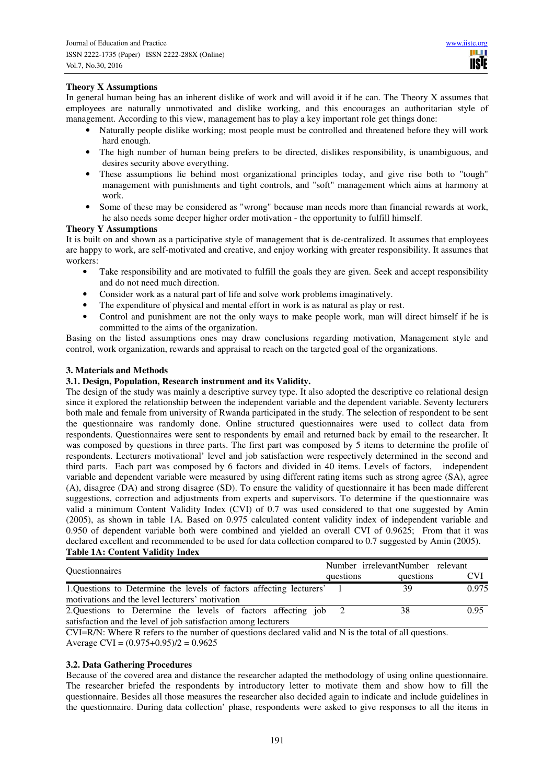# **Theory X Assumptions**

In general human being has an inherent dislike of work and will avoid it if he can. The Theory X assumes that employees are naturally unmotivated and dislike working, and this encourages an authoritarian style of management. According to this view, management has to play a key important role get things done:

- Naturally people dislike working; most people must be controlled and threatened before they will work hard enough.
- The high number of human being prefers to be directed, dislikes responsibility, is unambiguous, and desires security above everything.
- These assumptions lie behind most organizational principles today, and give rise both to "tough" management with punishments and tight controls, and "soft" management which aims at harmony at work.
- Some of these may be considered as "wrong" because man needs more than financial rewards at work, he also needs some deeper higher order motivation - the opportunity to fulfill himself.

# **Theory Y Assumptions**

It is built on and shown as a participative style of management that is de-centralized. It assumes that employees are happy to work, are self-motivated and creative, and enjoy working with greater responsibility. It assumes that workers:

- Take responsibility and are motivated to fulfill the goals they are given. Seek and accept responsibility and do not need much direction.
- Consider work as a natural part of life and solve work problems imaginatively.
- The expenditure of physical and mental effort in work is as natural as play or rest.
- Control and punishment are not the only ways to make people work, man will direct himself if he is committed to the aims of the organization.

Basing on the listed assumptions ones may draw conclusions regarding motivation, Management style and control, work organization, rewards and appraisal to reach on the targeted goal of the organizations.

# **3. Materials and Methods**

# **3.1. Design, Population, Research instrument and its Validity.**

The design of the study was mainly a descriptive survey type. It also adopted the descriptive co relational design since it explored the relationship between the independent variable and the dependent variable. Seventy lecturers both male and female from university of Rwanda participated in the study. The selection of respondent to be sent the questionnaire was randomly done. Online structured questionnaires were used to collect data from respondents. Questionnaires were sent to respondents by email and returned back by email to the researcher. It was composed by questions in three parts. The first part was composed by 5 items to determine the profile of respondents. Lecturers motivational' level and job satisfaction were respectively determined in the second and third parts. Each part was composed by 6 factors and divided in 40 items. Levels of factors, independent variable and dependent variable were measured by using different rating items such as strong agree (SA), agree (A), disagree (DA) and strong disagree (SD). To ensure the validity of questionnaire it has been made different suggestions, correction and adjustments from experts and supervisors. To determine if the questionnaire was valid a minimum Content Validity Index (CVI) of 0.7 was used considered to that one suggested by Amin (2005), as shown in table 1A. Based on 0.975 calculated content validity index of independent variable and 0.950 of dependent variable both were combined and yielded an overall CVI of 0.9625; From that it was declared excellent and recommended to be used for data collection compared to 0.7 suggested by Amin (2005). **Table 1A: Content Validity Index** 

| <b>Ouestionnaires</b>                                                |           | Number irrelevantNumber relevant |            |
|----------------------------------------------------------------------|-----------|----------------------------------|------------|
|                                                                      | questions | questions                        | <b>CVI</b> |
| 1. Questions to Determine the levels of factors affecting lecturers' |           | 39                               | 0.975      |
| motivations and the level lecturers' motivation                      |           |                                  |            |
| 2. Questions to Determine the levels of factors affecting job 2      |           | 38                               | 0.95       |
| satisfaction and the level of job satisfaction among lecturers       |           |                                  |            |

CVI=R/N: Where R refers to the number of questions declared valid and N is the total of all questions. Average CVI =  $(0.975+0.95)/2 = 0.9625$ 

#### **3.2. Data Gathering Procedures**

Because of the covered area and distance the researcher adapted the methodology of using online questionnaire. The researcher briefed the respondents by introductory letter to motivate them and show how to fill the questionnaire. Besides all those measures the researcher also decided again to indicate and include guidelines in the questionnaire. During data collection' phase, respondents were asked to give responses to all the items in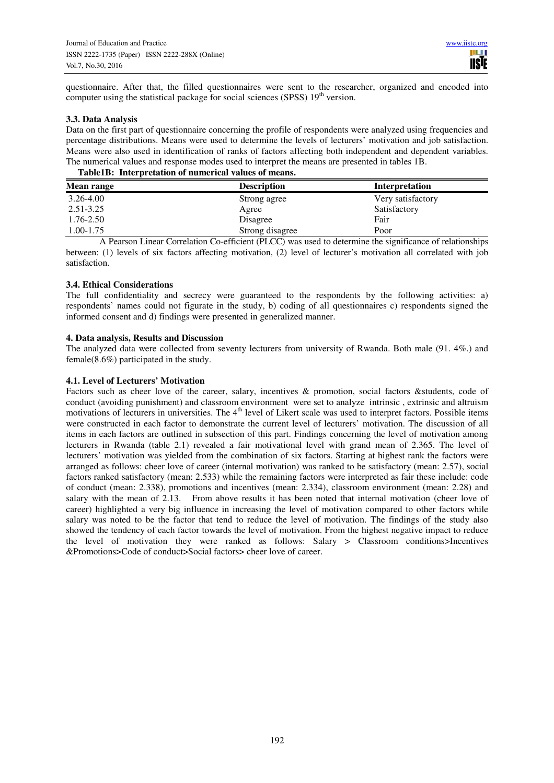questionnaire. After that, the filled questionnaires were sent to the researcher, organized and encoded into computer using the statistical package for social sciences (SPSS)  $19<sup>th</sup>$  version.

# **3.3. Data Analysis**

Data on the first part of questionnaire concerning the profile of respondents were analyzed using frequencies and percentage distributions. Means were used to determine the levels of lecturers' motivation and job satisfaction. Means were also used in identification of ranks of factors affecting both independent and dependent variables. The numerical values and response modes used to interpret the means are presented in tables 1B.

# **Table1B: Interpretation of numerical values of means.**

| Mean range | <b>Description</b> | Interpretation    |  |  |
|------------|--------------------|-------------------|--|--|
| 3.26-4.00  | Strong agree       | Very satisfactory |  |  |
| 2.51-3.25  | Agree              | Satisfactory      |  |  |
| 1.76-2.50  | Disagree           | Fair              |  |  |
| 1.00-1.75  | Strong disagree    | Poor              |  |  |

A Pearson Linear Correlation Co-efficient (PLCC) was used to determine the significance of relationships between: (1) levels of six factors affecting motivation, (2) level of lecturer's motivation all correlated with job satisfaction.

# **3.4. Ethical Considerations**

The full confidentiality and secrecy were guaranteed to the respondents by the following activities: a) respondents' names could not figurate in the study, b) coding of all questionnaires c) respondents signed the informed consent and d) findings were presented in generalized manner.

# **4. Data analysis, Results and Discussion**

The analyzed data were collected from seventy lecturers from university of Rwanda. Both male (91. 4%.) and female(8.6%) participated in the study.

# **4.1. Level of Lecturers' Motivation**

Factors such as cheer love of the career, salary, incentives & promotion, social factors &students, code of conduct (avoiding punishment) and classroom environment were set to analyze intrinsic , extrinsic and altruism motivations of lecturers in universities. The  $4<sup>th</sup>$  level of Likert scale was used to interpret factors. Possible items were constructed in each factor to demonstrate the current level of lecturers' motivation. The discussion of all items in each factors are outlined in subsection of this part. Findings concerning the level of motivation among lecturers in Rwanda (table 2.1) revealed a fair motivational level with grand mean of 2.365. The level of lecturers' motivation was yielded from the combination of six factors. Starting at highest rank the factors were arranged as follows: cheer love of career (internal motivation) was ranked to be satisfactory (mean: 2.57), social factors ranked satisfactory (mean: 2.533) while the remaining factors were interpreted as fair these include: code of conduct (mean: 2.338), promotions and incentives (mean: 2.334), classroom environment (mean: 2.28) and salary with the mean of 2.13. From above results it has been noted that internal motivation (cheer love of career) highlighted a very big influence in increasing the level of motivation compared to other factors while salary was noted to be the factor that tend to reduce the level of motivation. The findings of the study also showed the tendency of each factor towards the level of motivation. From the highest negative impact to reduce the level of motivation they were ranked as follows: Salary > Classroom conditions>Incentives &Promotions>Code of conduct>Social factors> cheer love of career.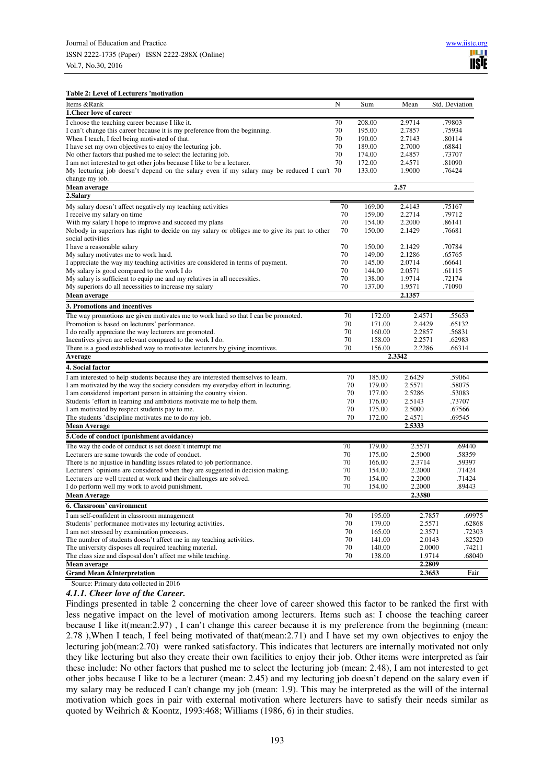#### **Table 2: Level of Lecturers 'motivation**

|                                                                                              | N  |        |        |                |
|----------------------------------------------------------------------------------------------|----|--------|--------|----------------|
| Items &Rank<br>1. Cheer love of career                                                       |    | Sum    | Mean   | Std. Deviation |
|                                                                                              |    |        |        |                |
| I choose the teaching career because I like it.                                              | 70 | 208.00 | 2.9714 | .79803         |
| I can't change this career because it is my preference from the beginning.                   | 70 | 195.00 | 2.7857 | .75934         |
| When I teach, I feel being motivated of that.                                                | 70 | 190.00 | 2.7143 | .80114         |
| I have set my own objectives to enjoy the lecturing job.                                     | 70 | 189.00 | 2.7000 | .68841         |
| No other factors that pushed me to select the lecturing job.                                 | 70 | 174.00 | 2.4857 | .73707         |
| I am not interested to get other jobs because I like to be a lecturer.                       | 70 | 172.00 | 2.4571 | .81090         |
| My lecturing job doesn't depend on the salary even if my salary may be reduced I can't 70    |    | 133.00 | 1.9000 | .76424         |
| change my job.                                                                               |    |        |        |                |
| Mean average                                                                                 |    |        | 2.57   |                |
| 2.Salary                                                                                     |    |        |        |                |
| My salary doesn't affect negatively my teaching activities                                   | 70 | 169.00 | 2.4143 | .75167         |
| I receive my salary on time                                                                  | 70 | 159.00 | 2.2714 | .79712         |
| With my salary I hope to improve and succeed my plans                                        | 70 | 154.00 | 2.2000 | .86141         |
| Nobody in superiors has right to decide on my salary or obliges me to give its part to other | 70 | 150.00 | 2.1429 | .76681         |
| social activities                                                                            |    |        |        |                |
| I have a reasonable salary                                                                   | 70 | 150.00 | 2.1429 | .70784         |
| My salary motivates me to work hard.                                                         | 70 | 149.00 | 2.1286 | .65765         |
| I appreciate the way my teaching activities are considered in terms of payment.              | 70 | 145.00 | 2.0714 | .66641         |
| My salary is good compared to the work I do                                                  | 70 | 144.00 | 2.0571 | .61115         |
| My salary is sufficient to equip me and my relatives in all necessities.                     | 70 | 138.00 | 1.9714 | .72174         |
| My superiors do all necessities to increase my salary                                        | 70 | 137.00 | 1.9571 | .71090         |
| Mean average                                                                                 |    |        | 2.1357 |                |
| 3. Promotions and incentives                                                                 |    |        |        |                |
| The way promotions are given motivates me to work hard so that I can be promoted.            | 70 | 172.00 | 2.4571 | .55653         |
| Promotion is based on lecturers' performance.                                                | 70 | 171.00 | 2.4429 | .65132         |
| I do really appreciate the way lecturers are promoted.                                       | 70 | 160.00 | 2.2857 | .56831         |
| Incentives given are relevant compared to the work I do.                                     | 70 | 158.00 | 2.2571 | .62983         |
| There is a good established way to motivates lecturers by giving incentives.                 | 70 | 156.00 | 2.2286 | .66314         |
| Average                                                                                      |    |        | 2.3342 |                |
| 4. Social factor                                                                             |    |        |        |                |
| I am interested to help students because they are interested themselves to learn.            | 70 | 185.00 | 2.6429 | .59064         |
| I am motivated by the way the society considers my everyday effort in lecturing.             | 70 | 179.00 | 2.5571 | .58075         |
| I am considered important person in attaining the country vision.                            | 70 | 177.00 | 2.5286 | .53083         |
| Students 'effort in learning and ambitions motivate me to help them.                         | 70 | 176.00 | 2.5143 | .73707         |
| I am motivated by respect students pay to me.                                                | 70 | 175.00 | 2.5000 | .67566         |
| The students 'discipline motivates me to do my job.                                          | 70 | 172.00 | 2.4571 | .69545         |
| <b>Mean Average</b>                                                                          |    |        | 2.5333 |                |
|                                                                                              |    |        |        |                |
| 5. Code of conduct (punishment avoidance)                                                    |    |        |        |                |
| The way the code of conduct is set doesn't interrupt me                                      | 70 | 179.00 | 2.5571 | .69440         |
| Lecturers are same towards the code of conduct.                                              | 70 | 175.00 | 2.5000 | .58359         |
| There is no injustice in handling issues related to job performance.                         | 70 | 166.00 | 2.3714 | .59397         |
| Lecturers' opinions are considered when they are suggested in decision making.               | 70 | 154.00 | 2.2000 | .71424         |
| Lecturers are well treated at work and their challenges are solved.                          | 70 | 154.00 | 2.2000 | .71424         |
| I do perform well my work to avoid punishment.                                               | 70 | 154.00 | 2.2000 | .89443         |
| <b>Mean Average</b>                                                                          |    |        | 2.3380 |                |
| 6. Classroom' environment                                                                    |    |        |        |                |
| I am self-confident in classroom management                                                  | 70 | 195.00 | 2.7857 | .69975         |
| Students' performance motivates my lecturing activities.                                     | 70 | 179.00 | 2.5571 | .62868         |
| I am not stressed by examination processes.                                                  | 70 | 165.00 | 2.3571 | .72303         |
| The number of students doesn't affect me in my teaching activities.                          | 70 | 141.00 | 2.0143 | .82520         |
| The university disposes all required teaching material.                                      | 70 | 140.00 | 2.0000 | .74211         |
| The class size and disposal don't affect me while teaching.                                  | 70 | 138.00 | 1.9714 | .68040         |
| Mean average                                                                                 |    |        | 2.2809 |                |
| <b>Grand Mean &amp;Interpretation</b>                                                        |    |        | 2.3653 | Fair           |

Source: Primary data collected in 2016

*4.1.1. Cheer love of the Career.* 

Findings presented in table 2 concerning the cheer love of career showed this factor to be ranked the first with less negative impact on the level of motivation among lecturers. Items such as: I choose the teaching career because I like it(mean:2.97) , I can't change this career because it is my preference from the beginning (mean: 2.78 ),When I teach, I feel being motivated of that(mean:2.71) and I have set my own objectives to enjoy the lecturing job(mean:2.70) were ranked satisfactory. This indicates that lecturers are internally motivated not only they like lecturing but also they create their own facilities to enjoy their job. Other items were interpreted as fair these include: No other factors that pushed me to select the lecturing job (mean: 2.48), I am not interested to get other jobs because I like to be a lecturer (mean: 2.45) and my lecturing job doesn't depend on the salary even if my salary may be reduced I can't change my job (mean: 1.9). This may be interpreted as the will of the internal motivation which goes in pair with external motivation where lecturers have to satisfy their needs similar as quoted by Weihrich & Koontz, 1993:468; Williams (1986, 6) in their studies.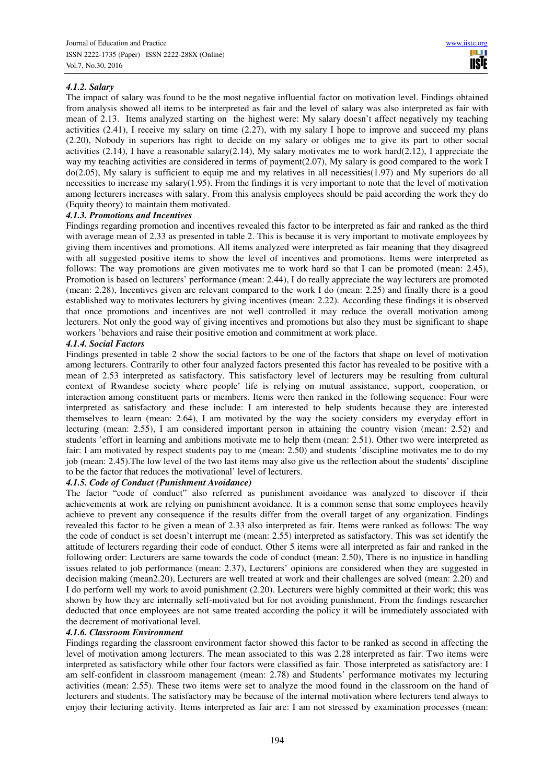# *4.1.2. Salary*

The impact of salary was found to be the most negative influential factor on motivation level. Findings obtained from analysis showed all items to be interpreted as fair and the level of salary was also interpreted as fair with mean of 2.13. Items analyzed starting on the highest were: My salary doesn't affect negatively my teaching activities (2.41), I receive my salary on time (2.27), with my salary I hope to improve and succeed my plans (2.20), Nobody in superiors has right to decide on my salary or obliges me to give its part to other social activities (2.14), I have a reasonable salary(2.14), My salary motivates me to work hard(2.12), I appreciate the way my teaching activities are considered in terms of payment(2.07), My salary is good compared to the work I do(2.05), My salary is sufficient to equip me and my relatives in all necessities(1.97) and My superiors do all necessities to increase my salary(1.95). From the findings it is very important to note that the level of motivation among lecturers increases with salary. From this analysis employees should be paid according the work they do (Equity theory) to maintain them motivated.

#### *4.1.3. Promotions and Incentives*

Findings regarding promotion and incentives revealed this factor to be interpreted as fair and ranked as the third with average mean of 2.33 as presented in table 2. This is because it is very important to motivate employees by giving them incentives and promotions. All items analyzed were interpreted as fair meaning that they disagreed with all suggested positive items to show the level of incentives and promotions. Items were interpreted as follows: The way promotions are given motivates me to work hard so that I can be promoted (mean: 2.45), Promotion is based on lecturers' performance (mean: 2.44), I do really appreciate the way lecturers are promoted (mean: 2.28), Incentives given are relevant compared to the work I do (mean: 2.25) and finally there is a good established way to motivates lecturers by giving incentives (mean: 2.22). According these findings it is observed that once promotions and incentives are not well controlled it may reduce the overall motivation among lecturers. Not only the good way of giving incentives and promotions but also they must be significant to shape workers 'behaviors and raise their positive emotion and commitment at work place.

#### *4.1.4. Social Factors*

Findings presented in table 2 show the social factors to be one of the factors that shape on level of motivation among lecturers. Contrarily to other four analyzed factors presented this factor has revealed to be positive with a mean of 2.53 interpreted as satisfactory. This satisfactory level of lecturers may be resulting from cultural context of Rwandese society where people' life is relying on mutual assistance, support, cooperation, or interaction among constituent parts or members. Items were then ranked in the following sequence: Four were interpreted as satisfactory and these include: I am interested to help students because they are interested themselves to learn (mean: 2.64), I am motivated by the way the society considers my everyday effort in lecturing (mean: 2.55), I am considered important person in attaining the country vision (mean: 2.52) and students 'effort in learning and ambitions motivate me to help them (mean: 2.51). Other two were interpreted as fair: I am motivated by respect students pay to me (mean: 2.50) and students 'discipline motivates me to do my job (mean: 2.45).The low level of the two last items may also give us the reflection about the students' discipline to be the factor that reduces the motivational' level of lecturers.

# *4.1.5. Code of Conduct (Punishment Avoidance)*

The factor "code of conduct" also referred as punishment avoidance was analyzed to discover if their achievements at work are relying on punishment avoidance. It is a common sense that some employees heavily achieve to prevent any consequence if the results differ from the overall target of any organization. Findings revealed this factor to be given a mean of 2.33 also interpreted as fair. Items were ranked as follows: The way the code of conduct is set doesn't interrupt me (mean: 2.55) interpreted as satisfactory. This was set identify the attitude of lecturers regarding their code of conduct. Other 5 items were all interpreted as fair and ranked in the following order: Lecturers are same towards the code of conduct (mean: 2.50), There is no injustice in handling issues related to job performance (mean: 2.37), Lecturers' opinions are considered when they are suggested in decision making (mean2.20), Lecturers are well treated at work and their challenges are solved (mean: 2.20) and I do perform well my work to avoid punishment (2.20). Lecturers were highly committed at their work; this was shown by how they are internally self-motivated but for not avoiding punishment. From the findings researcher deducted that once employees are not same treated according the policy it will be immediately associated with the decrement of motivational level.

# *4.1.6. Classroom Environment*

Findings regarding the classroom environment factor showed this factor to be ranked as second in affecting the level of motivation among lecturers. The mean associated to this was 2.28 interpreted as fair. Two items were interpreted as satisfactory while other four factors were classified as fair. Those interpreted as satisfactory are: I am self-confident in classroom management (mean: 2.78) and Students' performance motivates my lecturing activities (mean: 2.55). These two items were set to analyze the mood found in the classroom on the hand of lecturers and students. The satisfactory may be because of the internal motivation where lecturers tend always to enjoy their lecturing activity. Items interpreted as fair are: I am not stressed by examination processes (mean: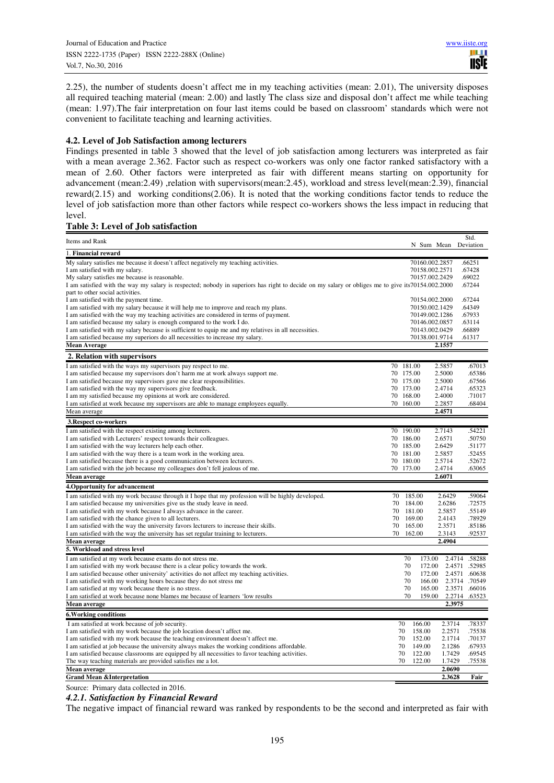2.25), the number of students doesn't affect me in my teaching activities (mean: 2.01), The university disposes all required teaching material (mean: 2.00) and lastly The class size and disposal don't affect me while teaching (mean: 1.97).The fair interpretation on four last items could be based on classroom' standards which were not convenient to facilitate teaching and learning activities.

#### **4.2. Level of Job Satisfaction among lecturers**

Findings presented in table 3 showed that the level of job satisfaction among lecturers was interpreted as fair with a mean average 2.362. Factor such as respect co-workers was only one factor ranked satisfactory with a mean of 2.60. Other factors were interpreted as fair with different means starting on opportunity for advancement (mean:2.49) ,relation with supervisors(mean:2.45), workload and stress level(mean:2.39), financial reward(2.15) and working conditions(2.06). It is noted that the working conditions factor tends to reduce the level of job satisfaction more than other factors while respect co-workers shows the less impact in reducing that level.

#### **Table 3: Level of Job satisfaction**

| Items and Rank                                                                                                                                                  |    |                        |                  |                                  | Std.                           |
|-----------------------------------------------------------------------------------------------------------------------------------------------------------------|----|------------------------|------------------|----------------------------------|--------------------------------|
|                                                                                                                                                                 |    |                        |                  |                                  | N Sum Mean Deviation           |
| 1. Financial reward                                                                                                                                             |    |                        |                  |                                  |                                |
| My salary satisfies me because it doesn't affect negatively my teaching activities.<br>I am satisfied with my salary.                                           |    |                        |                  | 70160.002.2857<br>70158.002.2571 | .66251<br>.67428               |
| My salary satisfies me because is reasonable.                                                                                                                   |    |                        |                  | 70157.002.2429                   | .69022                         |
| I am satisfied with the way my salary is respected; nobody in superiors has right to decide on my salary or obliges me to give its70154.002.2000                |    |                        |                  |                                  | .67244                         |
| part to other social activities.                                                                                                                                |    |                        |                  |                                  |                                |
| I am satisfied with the payment time.                                                                                                                           |    |                        |                  | 70154.002.2000                   | .67244                         |
| I am satisfied with my salary because it will help me to improve and reach my plans.                                                                            |    |                        |                  | 70150.002.1429                   | .64349                         |
| I am satisfied with the way my teaching activities are considered in terms of payment.                                                                          |    |                        |                  | 70149.002.1286                   | .67933                         |
| I am satisfied because my salary is enough compared to the work I do.                                                                                           |    |                        |                  | 70146.002.0857                   | .63114                         |
| I am satisfied with my salary because is sufficient to equip me and my relatives in all necessities.                                                            |    |                        |                  | 70143.002.0429                   | .66889                         |
| I am satisfied because my superiors do all necessities to increase my salary.                                                                                   |    |                        |                  | 70138.001.9714                   | .61317                         |
| <b>Mean Average</b>                                                                                                                                             |    |                        |                  | 2.1557                           |                                |
| 2. Relation with supervisors                                                                                                                                    |    |                        |                  |                                  |                                |
| I am satisfied with the ways my supervisors pay respect to me.                                                                                                  |    | 70 181.00              |                  | 2.5857                           | .67013                         |
| I am satisfied because my supervisors don't harm me at work always support me.                                                                                  |    | 70 175.00              |                  | 2.5000                           | .65386                         |
| I am satisfied because my supervisors gave me clear responsibilities.                                                                                           |    | 70 175.00              |                  | 2.5000                           | .67566                         |
| I am satisfied with the way my supervisors give feedback.                                                                                                       |    | 70 173.00              |                  | 2.4714                           | .65323                         |
| I am my satisfied because my opinions at work are considered.                                                                                                   |    | 70 168.00              |                  | 2.4000                           | .71017<br>.68404               |
| I am satisfied at work because my supervisors are able to manage employees equally.<br>Mean average                                                             |    | 70 160.00              |                  | 2.2857<br>2.4571                 |                                |
|                                                                                                                                                                 |    |                        |                  |                                  |                                |
| 3. Respect co-workers                                                                                                                                           |    |                        |                  |                                  |                                |
| I am satisfied with the respect existing among lecturers.                                                                                                       |    | 70 190.00              |                  | 2.7143                           | .54221                         |
| I am satisfied with Lecturers' respect towards their colleagues.                                                                                                |    | 70 186.00              |                  | 2.6571<br>2.6429                 | .50750                         |
| I am satisfied with the way lecturers help each other.<br>I am satisfied with the way there is a team work in the working area.                                 |    | 70 185.00<br>70 181.00 |                  | 2.5857                           | .51177<br>.52455               |
| I am satisfied because there is a good communication between lecturers.                                                                                         |    | 70 180.00              |                  | 2.5714                           | .52672                         |
| I am satisfied with the job because my colleagues don't fell jealous of me.                                                                                     |    | 70 173.00              |                  | 2.4714                           | .63065                         |
| <b>Mean average</b>                                                                                                                                             |    |                        |                  | 2.6071                           |                                |
| 4. Opportunity for advancement                                                                                                                                  |    |                        |                  |                                  |                                |
| I am satisfied with my work because through it I hope that my profession will be highly developed.                                                              | 70 | 185.00                 |                  | 2.6429                           | .59064                         |
| I am satisfied because my universities give us the study leave in need.                                                                                         | 70 |                        | 184.00           | 2.6286                           | .72575                         |
| I am satisfied with my work because I always advance in the career.                                                                                             | 70 | 181.00                 |                  | 2.5857                           | .55149                         |
| I am satisfied with the chance given to all lecturers.                                                                                                          | 70 |                        | 169.00           | 2.4143                           | .78929                         |
| I am satisfied with the way the university favors lecturers to increase their skills.                                                                           | 70 |                        | 165.00           | 2.3571                           | .85186                         |
| I am satisfied with the way the university has set regular training to lecturers.                                                                               | 70 | 162.00                 |                  | 2.3143                           | .92537                         |
| Mean average                                                                                                                                                    |    |                        |                  | 2.4904                           |                                |
| 5. Workload and stress level                                                                                                                                    |    |                        |                  |                                  |                                |
| I am satisfied at my work because exams do not stress me.                                                                                                       |    | 70                     | 173.00           |                                  | 2.4714 .58288                  |
| I am satisfied with my work because there is a clear policy towards the work.                                                                                   |    | 70<br>70               | 172.00<br>172.00 |                                  | 2.4571 .52985<br>2.4571 .60638 |
| I am satisfied because other university' activities do not affect my teaching activities.<br>I am satisfied with my working hours because they do not stress me |    | 70                     | 166.00           |                                  | 2.3714 .70549                  |
| I am satisfied at my work because there is no stress.                                                                                                           |    | 70                     | 165.00           |                                  | 2.3571 .66016                  |
| I am satisfied at work because none blames me because of learners 'low results                                                                                  |    | 70                     | 159.00           |                                  | 2.2714 .63523                  |
| Mean average                                                                                                                                                    |    |                        |                  | 2.3975                           |                                |
| <b>6. Working conditions</b>                                                                                                                                    |    |                        |                  |                                  |                                |
| I am satisfied at work because of job security.                                                                                                                 |    | 70                     | 166.00           | 2.3714                           | .78337                         |
| I am satisfied with my work because the job location doesn't affect me.                                                                                         |    | 70                     | 158.00           | 2.2571                           | .75538                         |
| I am satisfied with my work because the teaching environment doesn't affect me.                                                                                 |    | 70                     | 152.00           | 2.1714                           | .70137                         |
| I am satisfied at job because the university always makes the working conditions affordable.                                                                    |    | 70                     | 149.00           | 2.1286                           | .67933                         |
| I am satisfied because classrooms are equipped by all necessities to favor teaching activities.                                                                 |    | 70                     | 122.00           | 1.7429                           | .69545                         |
| The way teaching materials are provided satisfies me a lot.                                                                                                     |    | 70                     | 122.00           | 1.7429                           | .75538                         |
| Mean average                                                                                                                                                    |    |                        |                  | 2.0690                           |                                |
| <b>Grand Mean &amp;Interpretation</b>                                                                                                                           |    |                        |                  | 2.3628                           | Fair                           |

Source: Primary data collected in 2016.

#### *4.2.1. Satisfaction by Financial Reward*

The negative impact of financial reward was ranked by respondents to be the second and interpreted as fair with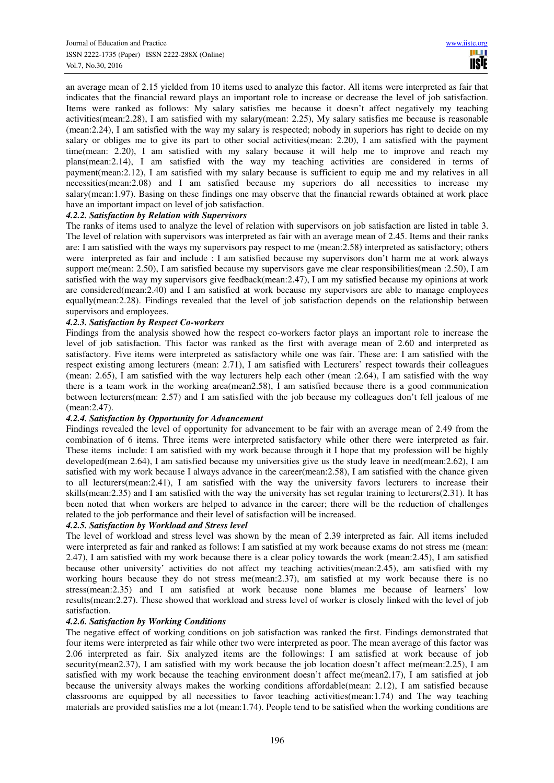an average mean of 2.15 yielded from 10 items used to analyze this factor. All items were interpreted as fair that indicates that the financial reward plays an important role to increase or decrease the level of job satisfaction. Items were ranked as follows: My salary satisfies me because it doesn't affect negatively my teaching activities(mean:2.28), I am satisfied with my salary(mean: 2.25), My salary satisfies me because is reasonable (mean:2.24), I am satisfied with the way my salary is respected; nobody in superiors has right to decide on my salary or obliges me to give its part to other social activities(mean: 2.20), I am satisfied with the payment time(mean: 2.20), I am satisfied with my salary because it will help me to improve and reach my plans(mean:2.14), I am satisfied with the way my teaching activities are considered in terms of payment(mean:2.12), I am satisfied with my salary because is sufficient to equip me and my relatives in all necessities(mean:2.08) and I am satisfied because my superiors do all necessities to increase my salary(mean:1.97). Basing on these findings one may observe that the financial rewards obtained at work place have an important impact on level of job satisfaction.

# *4.2.2. Satisfaction by Relation with Supervisors*

The ranks of items used to analyze the level of relation with supervisors on job satisfaction are listed in table 3. The level of relation with supervisors was interpreted as fair with an average mean of 2.45. Items and their ranks are: I am satisfied with the ways my supervisors pay respect to me (mean:2.58) interpreted as satisfactory; others were interpreted as fair and include : I am satisfied because my supervisors don't harm me at work always support me(mean: 2.50), I am satisfied because my supervisors gave me clear responsibilities(mean :2.50), I am satisfied with the way my supervisors give feedback(mean:2.47), I am my satisfied because my opinions at work are considered(mean:2.40) and I am satisfied at work because my supervisors are able to manage employees equally(mean:2.28). Findings revealed that the level of job satisfaction depends on the relationship between supervisors and employees.

# *4.2.3. Satisfaction by Respect Co-workers*

Findings from the analysis showed how the respect co-workers factor plays an important role to increase the level of job satisfaction. This factor was ranked as the first with average mean of 2.60 and interpreted as satisfactory. Five items were interpreted as satisfactory while one was fair. These are: I am satisfied with the respect existing among lecturers (mean: 2.71), I am satisfied with Lecturers' respect towards their colleagues (mean: 2.65), I am satisfied with the way lecturers help each other (mean :2.64), I am satisfied with the way there is a team work in the working area(mean2.58), I am satisfied because there is a good communication between lecturers(mean: 2.57) and I am satisfied with the job because my colleagues don't fell jealous of me (mean:2.47).

# *4.2.4. Satisfaction by Opportunity for Advancement*

Findings revealed the level of opportunity for advancement to be fair with an average mean of 2.49 from the combination of 6 items. Three items were interpreted satisfactory while other there were interpreted as fair. These items include: I am satisfied with my work because through it I hope that my profession will be highly developed(mean 2.64), I am satisfied because my universities give us the study leave in need(mean:2.62), I am satisfied with my work because I always advance in the career(mean:2.58), I am satisfied with the chance given to all lecturers(mean:2.41), I am satisfied with the way the university favors lecturers to increase their skills(mean:2.35) and I am satisfied with the way the university has set regular training to lecturers(2.31). It has been noted that when workers are helped to advance in the career; there will be the reduction of challenges related to the job performance and their level of satisfaction will be increased.

# *4.2.5. Satisfaction by Workload and Stress level*

The level of workload and stress level was shown by the mean of 2.39 interpreted as fair. All items included were interpreted as fair and ranked as follows: I am satisfied at my work because exams do not stress me (mean: 2.47), I am satisfied with my work because there is a clear policy towards the work (mean:2.45), I am satisfied because other university' activities do not affect my teaching activities(mean:2.45), am satisfied with my working hours because they do not stress me(mean:2.37), am satisfied at my work because there is no stress(mean:2.35) and I am satisfied at work because none blames me because of learners' low results(mean:2.27). These showed that workload and stress level of worker is closely linked with the level of job satisfaction.

#### *4.2.6. Satisfaction by Working Conditions*

The negative effect of working conditions on job satisfaction was ranked the first. Findings demonstrated that four items were interpreted as fair while other two were interpreted as poor. The mean average of this factor was 2.06 interpreted as fair. Six analyzed items are the followings: I am satisfied at work because of job security(mean2.37), I am satisfied with my work because the job location doesn't affect me(mean:2.25), I am satisfied with my work because the teaching environment doesn't affect me(mean2.17), I am satisfied at job because the university always makes the working conditions affordable(mean: 2.12), I am satisfied because classrooms are equipped by all necessities to favor teaching activities(mean:1.74) and The way teaching materials are provided satisfies me a lot (mean:1.74). People tend to be satisfied when the working conditions are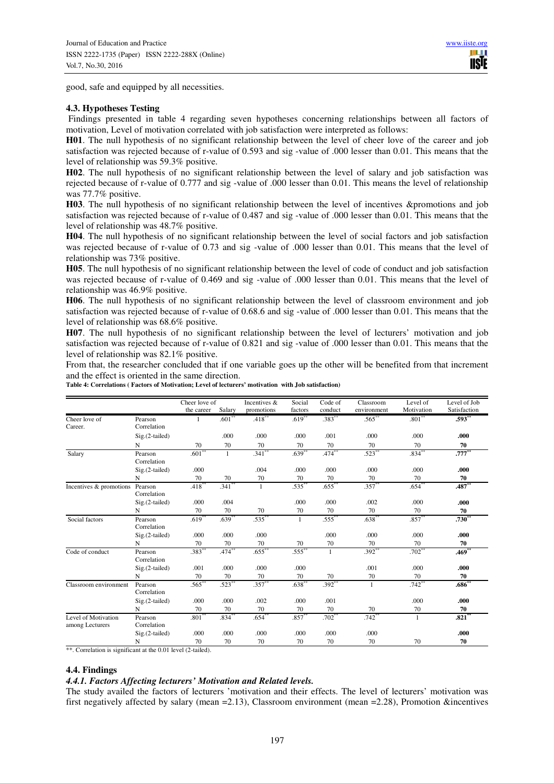good, safe and equipped by all necessities.

#### **4.3. Hypotheses Testing**

Findings presented in table 4 regarding seven hypotheses concerning relationships between all factors of motivation, Level of motivation correlated with job satisfaction were interpreted as follows:

**H01**. The null hypothesis of no significant relationship between the level of cheer love of the career and job satisfaction was rejected because of r-value of 0.593 and sig -value of .000 lesser than 0.01. This means that the level of relationship was 59.3% positive.

**H02**. The null hypothesis of no significant relationship between the level of salary and job satisfaction was rejected because of r-value of 0.777 and sig -value of .000 lesser than 0.01. This means the level of relationship was 77.7% positive.

**H03**. The null hypothesis of no significant relationship between the level of incentives &promotions and job satisfaction was rejected because of r-value of 0.487 and sig -value of .000 lesser than 0.01. This means that the level of relationship was 48.7% positive.

**H04**. The null hypothesis of no significant relationship between the level of social factors and job satisfaction was rejected because of r-value of 0.73 and sig -value of .000 lesser than 0.01. This means that the level of relationship was 73% positive.

**H05**. The null hypothesis of no significant relationship between the level of code of conduct and job satisfaction was rejected because of r-value of 0.469 and sig -value of .000 lesser than 0.01. This means that the level of relationship was 46.9% positive.

**H06**. The null hypothesis of no significant relationship between the level of classroom environment and job satisfaction was rejected because of r-value of 0.68.6 and sig -value of .000 lesser than 0.01. This means that the level of relationship was 68.6% positive.

**H07**. The null hypothesis of no significant relationship between the level of lecturers' motivation and job satisfaction was rejected because of r-value of 0.821 and sig -value of .000 lesser than 0.01. This means that the level of relationship was 82.1% positive.

From that, the researcher concluded that if one variable goes up the other will be benefited from that increment and the effect is oriented in the same direction.

| Table 4: Correlations (Factors of Motivation; Level of lecturers' motivation with Job satisfaction) |  |
|-----------------------------------------------------------------------------------------------------|--|
|-----------------------------------------------------------------------------------------------------|--|

|                                        |                        | Cheer love of |              | Incentives & | Social               | Code of      | Classroom   | Level of             | Level of Job |
|----------------------------------------|------------------------|---------------|--------------|--------------|----------------------|--------------|-------------|----------------------|--------------|
|                                        |                        | the career    | Salary       | promotions   | factors              | conduct      | environment | Motivation           | Satisfaction |
| Cheer love of<br>Career.               | Pearson<br>Correlation | 1             | $.601**$     | $.418***$    | $.619**$             | $.383**$     | $.565***$   | $.801**$             | $.593***$    |
|                                        | $Sig.(2-tailed)$       |               | .000         | .000         | .000                 | .001         | .000        | .000                 | .000.        |
|                                        | N                      | 70            | 70           | 70           | 70                   | 70           | 70          | 70                   | 70           |
| Salary                                 | Pearson<br>Correlation | $.601**$      | $\mathbf{1}$ | $.341**$     | $.639**$             | $.474***$    | $.523***$   | $.834***$            | $.777***$    |
|                                        | Sig.(2-tailed)         | .000          |              | .004         | .000                 | .000         | .000        | .000                 | .000.        |
|                                        | N                      | 70            | 70           | 70           | 70                   | 70           | 70          | 70                   | 70           |
| Incentives & promotions                | Pearson<br>Correlation | $.418***$     | $.341**$     | 1            | $.535**$             | $.655**$     | $.357**$    | $.654**$             | $.487**$     |
|                                        | Sig.(2-tailed)         | .000          | .004         |              | .000                 | .000         | .002        | .000                 | .000.        |
|                                        | N                      | 70            | 70           | 70           | 70                   | 70           | 70          | 70                   | 70           |
| Social factors                         | Pearson<br>Correlation | $.619**$      | $.639**$     | $.535***$    | $\mathbf{1}$         | $.555$ **    | $.638**$    | $.857**$             | $.730*$      |
|                                        | $Sig.(2-tailed)$       | .000          | .000         | .000         |                      | .000         | .000        | .000                 | .000         |
|                                        | N                      | 70            | 70           | 70           | 70                   | 70           | 70          | 70                   | 70           |
| Code of conduct                        | Pearson<br>Correlation | $.383**$      | $.474***$    | $.655***$    | $.555$ <sup>**</sup> | $\mathbf{1}$ | $.392**$    | $.702$ <sup>**</sup> | .469*        |
|                                        | Sig.(2-tailed)         | .001          | .000         | .000         | .000                 |              | .001        | .000                 | .000         |
|                                        | N                      | 70            | 70           | 70           | 70                   | 70           | 70          | 70                   | 70           |
| Classroom environment                  | Pearson<br>Correlation | $.565**$      | $.523***$    | $.357***$    | $.638^{**}$          | $.392**$     | 1           | $.742$ **            | $.686^{**}$  |
|                                        | Sig.(2-tailed)         | .000          | .000         | .002         | .000                 | .001         |             | .000                 | .000         |
|                                        | N                      | 70            | 70           | 70           | 70                   | 70           | 70          | 70                   | 70           |
| Level of Motivation<br>among Lecturers | Pearson<br>Correlation | $.801^{*}$    | $.834*$      | $.654*$      | $.857**$             | $.702*$      | $.742*$     | 1                    | $.821**$     |
|                                        | Sig.(2-tailed)         | .000          | .000         | .000         | .000                 | .000         | .000        |                      | .000.        |
|                                        | N                      | 70            | 70           | 70           | 70                   | 70           | 70          | 70                   | 70           |

\*\*. Correlation is significant at the 0.01 level (2-tailed).

#### **4.4. Findings**

#### *4.4.1. Factors Affecting lecturers' Motivation and Related levels.*

The study availed the factors of lecturers 'motivation and their effects. The level of lecturers' motivation was first negatively affected by salary (mean =2.13), Classroom environment (mean =2.28), Promotion &incentives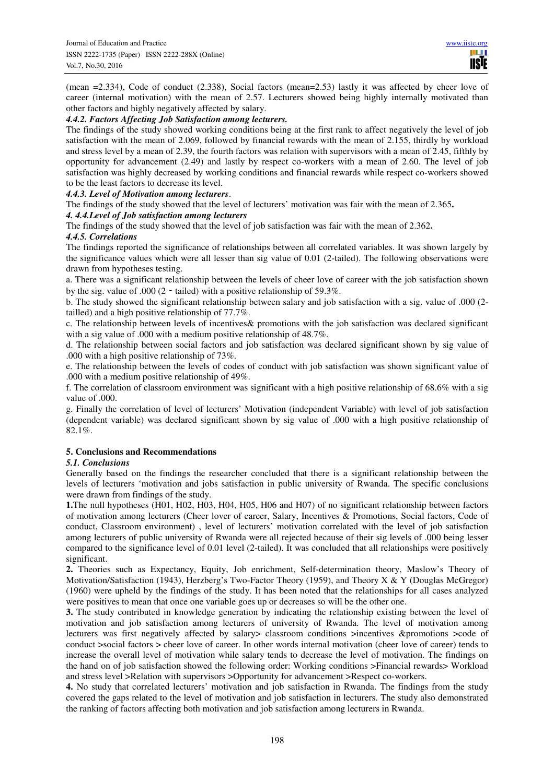(mean =2.334), Code of conduct (2.338), Social factors (mean=2.53) lastly it was affected by cheer love of career (internal motivation) with the mean of 2.57. Lecturers showed being highly internally motivated than other factors and highly negatively affected by salary.

#### *4.4.2. Factors Affecting Job Satisfaction among lecturers.*

The findings of the study showed working conditions being at the first rank to affect negatively the level of job satisfaction with the mean of 2.069, followed by financial rewards with the mean of 2.155, thirdly by workload and stress level by a mean of 2.39, the fourth factors was relation with supervisors with a mean of 2.45, fifthly by opportunity for advancement (2.49) and lastly by respect co-workers with a mean of 2.60. The level of job satisfaction was highly decreased by working conditions and financial rewards while respect co-workers showed to be the least factors to decrease its level.

#### *4.4.3. Level of Motivation among lecturers*.

The findings of the study showed that the level of lecturers' motivation was fair with the mean of 2.365**.** 

#### *4. 4.4.Level of Job satisfaction among lecturers*

The findings of the study showed that the level of job satisfaction was fair with the mean of 2.362**.** 

#### *4.4.5. Correlations*

The findings reported the significance of relationships between all correlated variables. It was shown largely by the significance values which were all lesser than sig value of 0.01 (2-tailed). The following observations were drawn from hypotheses testing.

a. There was a significant relationship between the levels of cheer love of career with the job satisfaction shown by the sig. value of .000 (2 - tailed) with a positive relationship of 59.3%.

b. The study showed the significant relationship between salary and job satisfaction with a sig. value of .000 (2 tailled) and a high positive relationship of 77.7%.

c. The relationship between levels of incentives& promotions with the job satisfaction was declared significant with a sig value of .000 with a medium positive relationship of 48.7%.

d. The relationship between social factors and job satisfaction was declared significant shown by sig value of .000 with a high positive relationship of 73%.

e. The relationship between the levels of codes of conduct with job satisfaction was shown significant value of .000 with a medium positive relationship of 49%.

f. The correlation of classroom environment was significant with a high positive relationship of 68.6% with a sig value of .000.

g. Finally the correlation of level of lecturers' Motivation (independent Variable) with level of job satisfaction (dependent variable) was declared significant shown by sig value of .000 with a high positive relationship of 82.1%.

# **5. Conclusions and Recommendations**

#### *5.1. Conclusions*

Generally based on the findings the researcher concluded that there is a significant relationship between the levels of lecturers 'motivation and jobs satisfaction in public university of Rwanda. The specific conclusions were drawn from findings of the study.

**1.**The null hypotheses (H01, H02, H03, H04, H05, H06 and H07) of no significant relationship between factors of motivation among lecturers (Cheer lover of career, Salary, Incentives & Promotions, Social factors, Code of conduct, Classroom environment) , level of lecturers' motivation correlated with the level of job satisfaction among lecturers of public university of Rwanda were all rejected because of their sig levels of .000 being lesser compared to the significance level of 0.01 level (2-tailed). It was concluded that all relationships were positively significant.

**2.** Theories such as Expectancy, Equity, Job enrichment, Self-determination theory, Maslow's Theory of Motivation/Satisfaction (1943), Herzberg's Two-Factor Theory (1959), and Theory X & Y (Douglas McGregor) (1960) were upheld by the findings of the study. It has been noted that the relationships for all cases analyzed were positives to mean that once one variable goes up or decreases so will be the other one.

**3.** The study contributed in knowledge generation by indicating the relationship existing between the level of motivation and job satisfaction among lecturers of university of Rwanda. The level of motivation among lecturers was first negatively affected by salary> classroom conditions >incentives &promotions >code of conduct >social factors > cheer love of career. In other words internal motivation (cheer love of career) tends to increase the overall level of motivation while salary tends to decrease the level of motivation. The findings on the hand on of job satisfaction showed the following order: Working conditions >Financial rewards> Workload and stress level >Relation with supervisors >Opportunity for advancement >Respect co-workers.

**4.** No study that correlated lecturers' motivation and job satisfaction in Rwanda. The findings from the study covered the gaps related to the level of motivation and job satisfaction in lecturers. The study also demonstrated the ranking of factors affecting both motivation and job satisfaction among lecturers in Rwanda.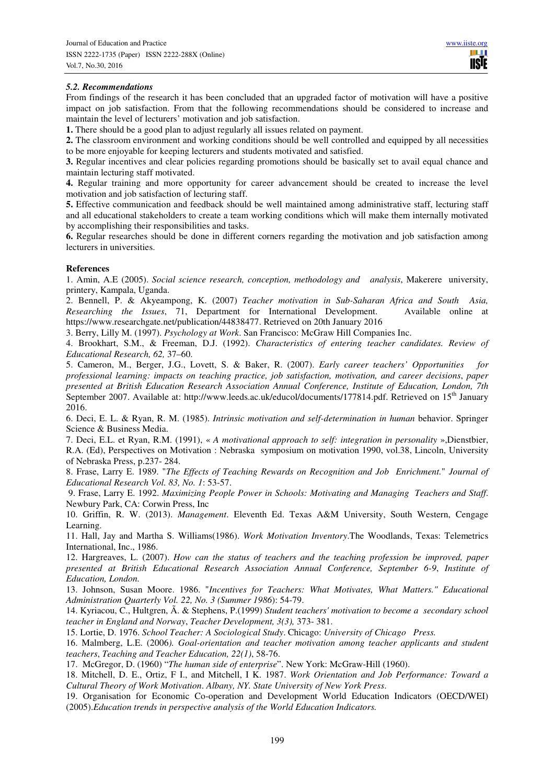HH I **USIE** 

# *5.2. Recommendations*

From findings of the research it has been concluded that an upgraded factor of motivation will have a positive impact on job satisfaction. From that the following recommendations should be considered to increase and maintain the level of lecturers' motivation and job satisfaction.

**1.** There should be a good plan to adjust regularly all issues related on payment.

**2.** The classroom environment and working conditions should be well controlled and equipped by all necessities to be more enjoyable for keeping lecturers and students motivated and satisfied.

**3.** Regular incentives and clear policies regarding promotions should be basically set to avail equal chance and maintain lecturing staff motivated.

**4.** Regular training and more opportunity for career advancement should be created to increase the level motivation and job satisfaction of lecturing staff.

**5.** Effective communication and feedback should be well maintained among administrative staff, lecturing staff and all educational stakeholders to create a team working conditions which will make them internally motivated by accomplishing their responsibilities and tasks.

**6.** Regular researches should be done in different corners regarding the motivation and job satisfaction among lecturers in universities.

# **References**

1. Amin, A.E (2005). *Social science research, conception, methodology and analysis*, Makerere university, printery, Kampala, Uganda.

2. Bennell, P. & Akyeampong, K. (2007) *Teacher motivation in Sub-Saharan Africa and South Asia, Researching the Issues*, 71, Department for International Development. Available online at https://www.researchgate.net/publication/44838477. Retrieved on 20th January 2016

3. Berry, Lilly M. (1997). *Psychology at Work*. San Francisco: McGraw Hill Companies Inc.

4. Brookhart, S.M., & Freeman, D.J. (1992). *Characteristics of entering teacher candidates. Review of Educational Research, 62,* 37–60.

5. Cameron, M., Berger, J.G., Lovett, S. & Baker, R. (2007). *Early career teachers' Opportunities for professional learning: impacts on teaching practice, job satisfaction, motivation, and career decisions*, *paper presented at British Education Research Association Annual Conference, Institute of Education, London, 7th* September 2007. Available at: http://www.leeds.ac.uk/educol/documents/177814.pdf. Retrieved on 15<sup>th</sup> January 2016.

6. Deci, E. L. & Ryan, R. M. (1985). *Intrinsic motivation and self-determination in human* behavior. Springer Science & Business Media.

7. Deci, E.L. et Ryan, R.M. (1991), « *A motivational approach to self: integration in personality* »,Dienstbier, R.A. (Ed), Perspectives on Motivation : Nebraska symposium on motivation 1990, vol.38, Lincoln, University of Nebraska Press, p.237- 284.

8. Frase, Larry E. 1989. "*The Effects of Teaching Rewards on Recognition and Job Enrichment.*" *Journal of Educational Research Vol. 83, No. 1*: 53-57.

 9. Frase, Larry E. 1992. *Maximizing People Power in Schools: Motivating and Managing Teachers and Staff*. Newbury Park, CA: Corwin Press, Inc

10. Griffin, R. W. (2013). *Management*. Eleventh Ed. Texas A&M University, South Western, Cengage Learning.

11. Hall, Jay and Martha S. Williams(1986). *Work Motivation Inventory*.The Woodlands, Texas: Telemetrics International, Inc., 1986.

12. Hargreaves, L. (2007). *How can the status of teachers and the teaching profession be improved, paper presented at British Educational Research Association Annual Conference, September 6-9*, *Institute of Education, London.* 

13. Johnson, Susan Moore. 1986. "*Incentives for Teachers: What Motivates, What Matters." Educational Administration Quarterly Vol. 22, No. 3 (Summer 1986*): 54-79.

14. Kyriacou, C., Hultgren, Ã. & Stephens, P.(1999) *Student teachers' motivation to become a secondary school teacher in England and Norway*, *Teacher Development, 3(3),* 373- 381.

15. Lortie, D. 1976. *School Teacher: A Sociological Study*. Chicago: *University of Chicago Press.* 

16. Malmberg, L.E. (2006*). Goal-orientation and teacher motivation among teacher applicants and student teachers*, *Teaching and Teacher Education, 22(1)*, 58-76.

17. McGregor, D. (1960) "*The human side of enterprise*". New York: McGraw-Hill (1960).

18. Mitchell, D. E., Ortiz, F I., and Mitchell, I K. 1987. *Work Orientation and Job Performance: Toward a Cultural Theory of Work Motivation*. *Albany, NY. State University of New York Press*.

19. Organisation for Economic Co-operation and Development World Education Indicators (OECD/WEI) (2005).*Education trends in perspective analysis of the World Education Indicators.*